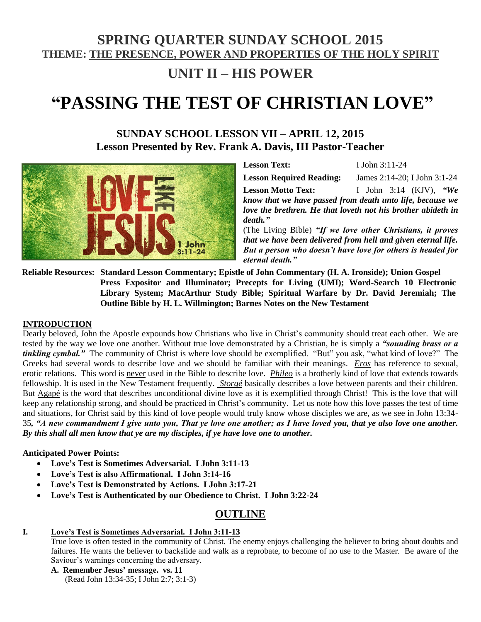# **SPRING QUARTER SUNDAY SCHOOL 2015 THEME: THE PRESENCE, POWER AND PROPERTIES OF THE HOLY SPIRIT**

# **UNIT II** – **HIS POWER**

# **"PASSING THE TEST OF CHRISTIAN LOVE"**

## **SUNDAY SCHOOL LESSON VII – APRIL 12, 2015 Lesson Presented by Rev. Frank A. Davis, III Pastor-Teacher**



**Lesson Text:** I John 3:11-24 **Lesson Required Reading:** James 2:14-20; I John 3:1-24

**Lesson Motto Text:** I John 3:14 (KJV), *"We know that we have passed from death unto life, because we love the brethren. He that loveth not his brother abideth in death."*

(The Living Bible) *"If we love other Christians, it proves that we have been delivered from hell and given eternal life. But a person who doesn't have love for others is headed for eternal death."*

**Reliable Resources: Standard Lesson Commentary; Epistle of John Commentary (H. A. Ironside); Union Gospel Press Expositor and Illuminator; Precepts for Living (UMI); Word-Search 10 Electronic Library System; MacArthur Study Bible; Spiritual Warfare by Dr. David Jeremiah; The Outline Bible by H. L. Willmington; Barnes Notes on the New Testament** 

#### **INTRODUCTION**

Dearly beloved, John the Apostle expounds how Christians who live in Christ's community should treat each other. We are tested by the way we love one another. Without true love demonstrated by a Christian, he is simply a *"sounding brass or a tinkling cymbal."* The community of Christ is where love should be exemplified. "But" you ask, "what kind of love?" The Greeks had several words to describe love and we should be familiar with their meanings. *Eros* has reference to sexual, erotic relations. This word is never used in the Bible to describe love. *Phileo* is a brotherly kind of love that extends towards fellowship. It is used in the New Testament frequently. *Storgé* basically describes a love between parents and their children. But Agapé is the word that describes unconditional divine love as it is exemplified through Christ! This is the love that will keep any relationship strong, and should be practiced in Christ's community. Let us note how this love passes the test of time and situations, for Christ said by this kind of love people would truly know whose disciples we are, as we see in John 13:34- 35*, "A new commandment I give unto you, That ye love one another; as I have loved you, that ye also love one another. By this shall all men know that ye are my disciples, if ye have love one to another.*

#### **Anticipated Power Points:**

- **Love's Test is Sometimes Adversarial. I John 3:11-13**
- **Love's Test is also Affirmational. I John 3:14-16**
- **Love's Test is Demonstrated by Actions. I John 3:17-21**
- **Love's Test is Authenticated by our Obedience to Christ. I John 3:22-24**

### **OUTLINE**

#### **I. Love's Test is Sometimes Adversarial. I John 3:11-13**

True love is often tested in the community of Christ. The enemy enjoys challenging the believer to bring about doubts and failures. He wants the believer to backslide and walk as a reprobate, to become of no use to the Master. Be aware of the Saviour's warnings concerning the adversary.

**A. Remember Jesus' message. vs. 11**

(Read John 13:34-35; I John 2:7; 3:1-3)